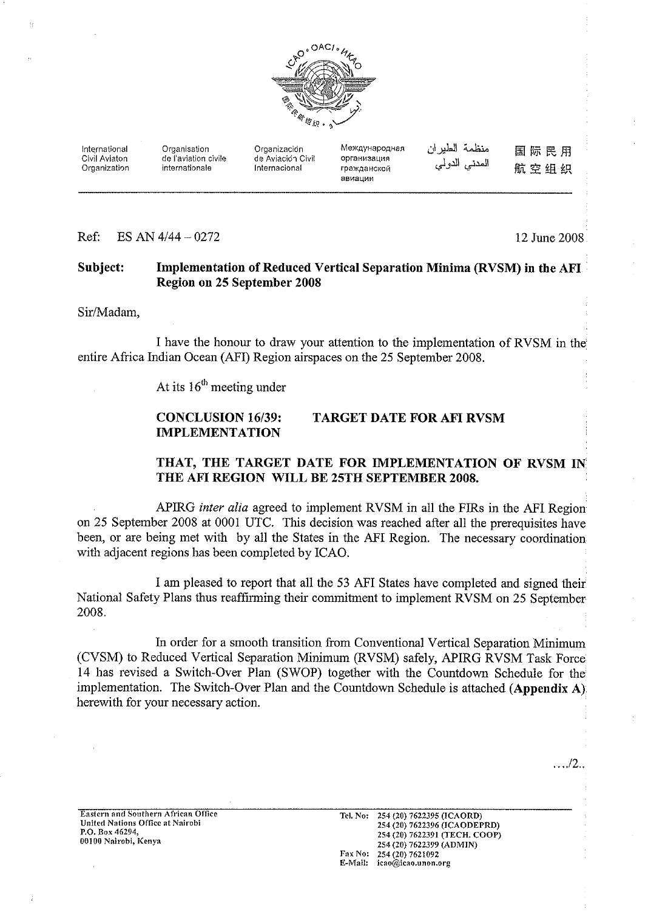

Международная منظمة الطيران International Organisation Organización 国际民用 Civil Aviaton de l'aviation civile de Aviación Civil организация المدنيي الدولي 航空组织 Organization internationale Internacional гражданской авиации

Ref. ES AN  $4/44 - 0272$  12 June 2008

#### Implementation of Reduced Vertical Separation Minima (RVSM) in the AFI Subject: Region on 25 September 2008

Sir/Madam,

I have the honour to draw your attention to the implementation of RVSM in the entire Africa Indian Ocean (AFI) Region airspaces on the 25 September 2008.

At its  $16<sup>th</sup>$  meeting under

#### **CONCLUSION 16/39: TARGET DATE FOR AFI RVSM IMPLEMENTATION**

#### THAT, THE TARGET DATE FOR IMPLEMENTATION OF RVSM IN THE AFI REGION WILL BE 25TH SEPTEMBER 2008.

APIRG inter alia agreed to implement RVSM in all the FIRs in the AFI Region on 25 September 2008 at 0001 UTC. This decision was reached after all the prerequisites have been, or are being met with by all the States in the AFI Region. The necessary coordination with adjacent regions has been completed by ICAO.

I am pleased to report that all the 53 AFI States have completed and signed their National Safety Plans thus reaffirming their commitment to implement RVSM on 25 September 2008.

In order for a smooth transition from Conventional Vertical Separation Minimum (CVSM) to Reduced Vertical Separation Minimum (RVSM) safely, APIRG RVSM Task Force 14 has revised a Switch-Over Plan (SWOP) together with the Countdown Schedule for the implementation. The Switch-Over Plan and the Countdown Schedule is attached (Appendix A) here with for your necessary action.

 $\ldots$ ./2..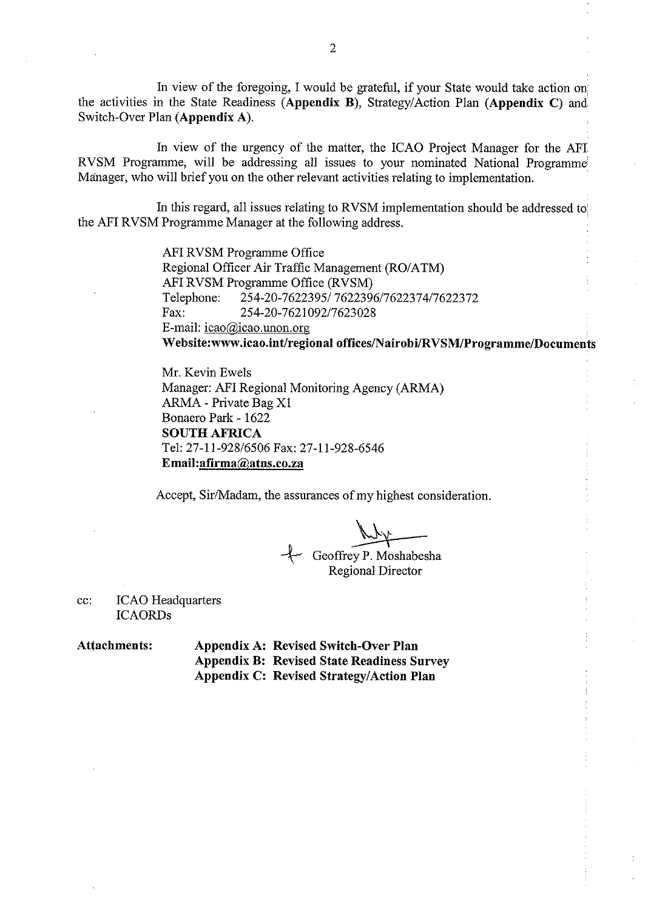In view of the foregoing, I would be grateful, if your State would take action on the activities in the State Readiness (Appendix B), Strategy/Action Plan (Appendix C) and Switch-Over Plan (Appendix A).

In view of the urgency of the matter, the ICAO Project Manager for the AFI RVSM Programme, will be addressing all issues to your nominated National Programme Manager, who will brief you on the other relevant activities relating to implementation.

In this regard, all issues relating to RVSM implementation should be addressed to the AFI RVSM Programme Manager at the following address.

> AFI RVSM Programme Office Regional Officer Air Traffic Management (RO/ATM) AFI RVSM Programme Office (RVSM) 254-20-7622395/7622396/7622374/7622372 Telephone: Fax: 254-20-7621092/7623028 E-mail:  $icao$ @icao.unon.org Website:www.icao.int/regional offices/Nairobi/RVSM/Programme/Documents

Mr. Kevin Ewels Manager: AFI Regional Monitoring Agency (ARMA) ARMA - Private Bag X1 Bonaero Park - 1622 **SOUTH AFRICA** Tel: 27-11-928/6506 Fax: 27-11-928-6546 Email: afirma@atns.co.za

Accept, Sir/Madam, the assurances of my highest consideration.

Geoffrey P. Moshabesha **Regional Director** 

**ICAO** Headquarters cc: **ICAORDs** 

**Attachments: Appendix A: Revised Switch-Over Plan Appendix B: Revised State Readiness Survey Appendix C: Revised Strategy/Action Plan**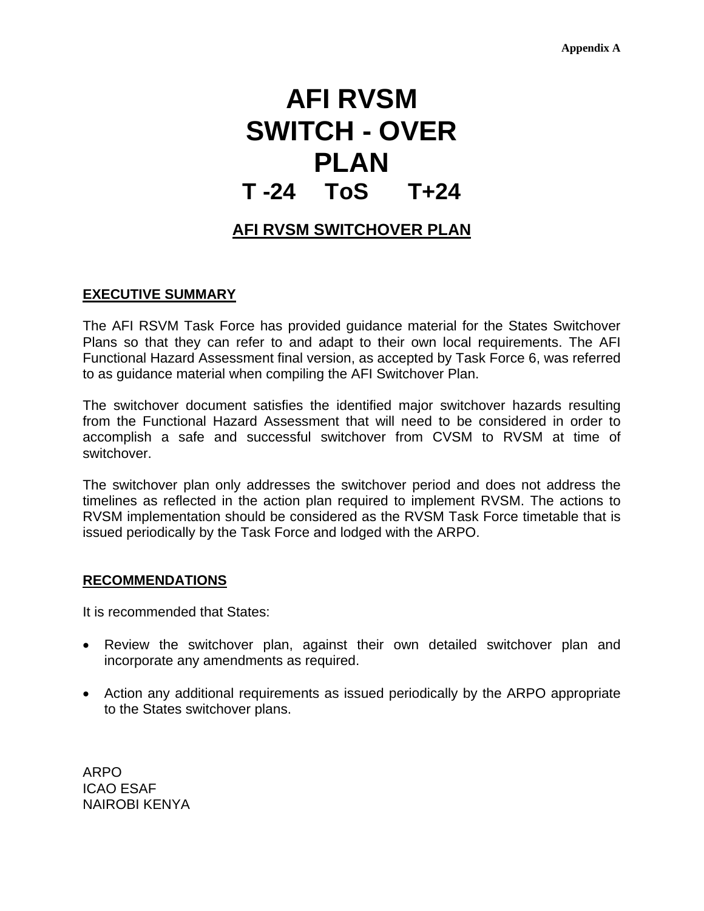# **AFI RVSM SWITCH - OVER PLAN T -24 ToS T+24**

# **AFI RVSM SWITCHOVER PLAN**

#### **EXECUTIVE SUMMARY**

The AFI RSVM Task Force has provided guidance material for the States Switchover Plans so that they can refer to and adapt to their own local requirements. The AFI Functional Hazard Assessment final version, as accepted by Task Force 6, was referred to as guidance material when compiling the AFI Switchover Plan.

The switchover document satisfies the identified major switchover hazards resulting from the Functional Hazard Assessment that will need to be considered in order to accomplish a safe and successful switchover from CVSM to RVSM at time of switchover.

The switchover plan only addresses the switchover period and does not address the timelines as reflected in the action plan required to implement RVSM. The actions to RVSM implementation should be considered as the RVSM Task Force timetable that is issued periodically by the Task Force and lodged with the ARPO.

#### **RECOMMENDATIONS**

It is recommended that States:

- Review the switchover plan, against their own detailed switchover plan and incorporate any amendments as required.
- Action any additional requirements as issued periodically by the ARPO appropriate to the States switchover plans.

ARPO ICAO ESAF NAIROBI KENYA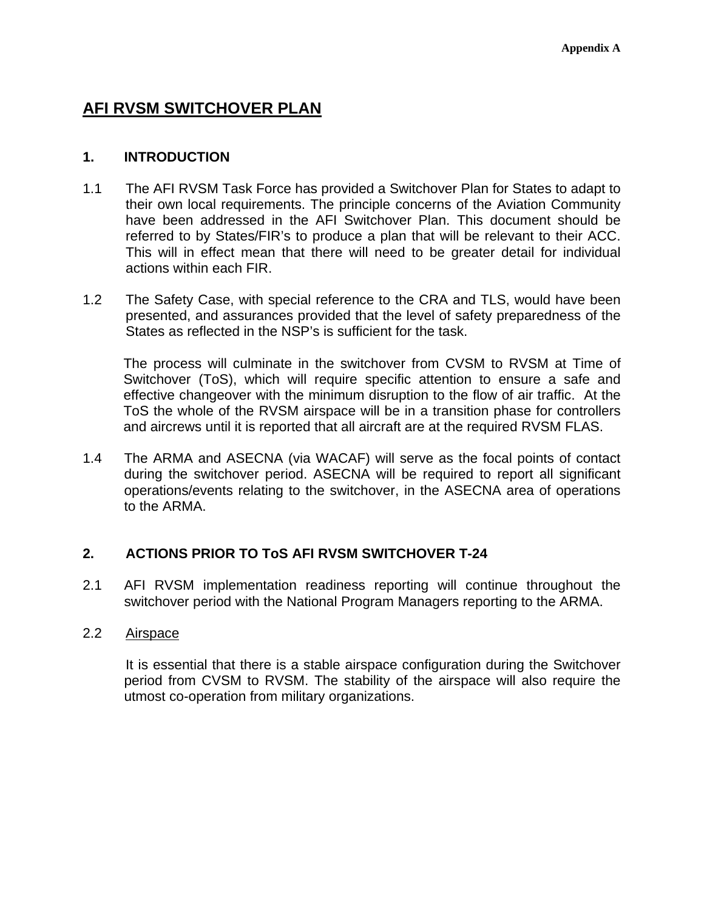# **AFI RVSM SWITCHOVER PLAN**

## **1. INTRODUCTION**

- 1.1 The AFI RVSM Task Force has provided a Switchover Plan for States to adapt to their own local requirements. The principle concerns of the Aviation Community have been addressed in the AFI Switchover Plan. This document should be referred to by States/FIR's to produce a plan that will be relevant to their ACC. This will in effect mean that there will need to be greater detail for individual actions within each FIR.
- 1.2 The Safety Case, with special reference to the CRA and TLS, would have been presented, and assurances provided that the level of safety preparedness of the States as reflected in the NSP's is sufficient for the task.

 The process will culminate in the switchover from CVSM to RVSM at Time of Switchover (ToS), which will require specific attention to ensure a safe and effective changeover with the minimum disruption to the flow of air traffic. At the ToS the whole of the RVSM airspace will be in a transition phase for controllers and aircrews until it is reported that all aircraft are at the required RVSM FLAS.

1.4 The ARMA and ASECNA (via WACAF) will serve as the focal points of contact during the switchover period. ASECNA will be required to report all significant operations/events relating to the switchover, in the ASECNA area of operations to the ARMA.

# **2. ACTIONS PRIOR TO ToS AFI RVSM SWITCHOVER T-24**

2.1 AFI RVSM implementation readiness reporting will continue throughout the switchover period with the National Program Managers reporting to the ARMA.

#### 2.2 Airspace

 It is essential that there is a stable airspace configuration during the Switchover period from CVSM to RVSM. The stability of the airspace will also require the utmost co-operation from military organizations.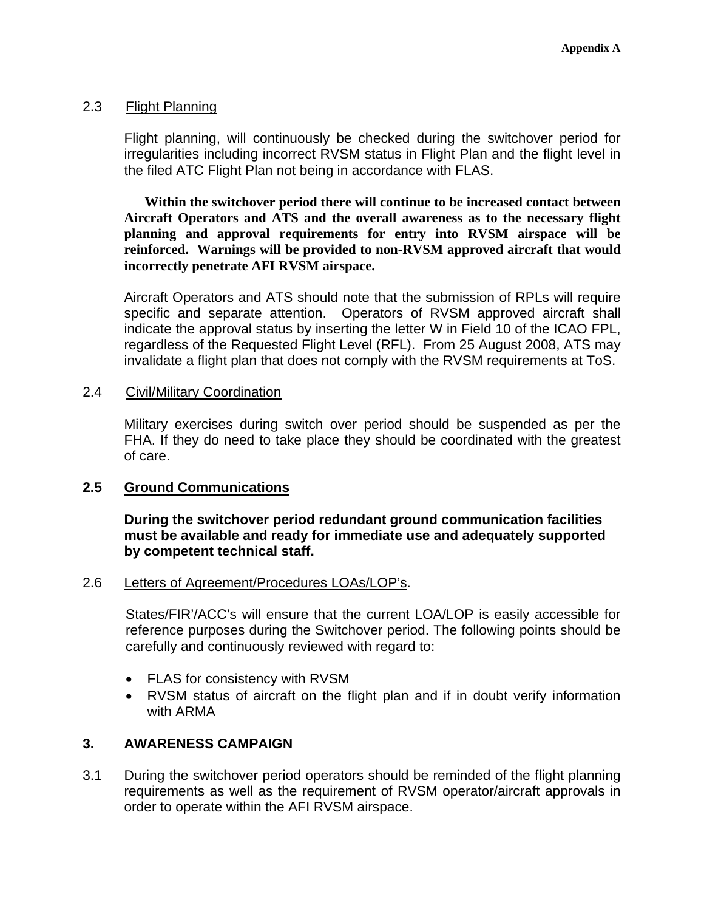#### 2.3 Flight Planning

Flight planning, will continuously be checked during the switchover period for irregularities including incorrect RVSM status in Flight Plan and the flight level in the filed ATC Flight Plan not being in accordance with FLAS.

**Within the switchover period there will continue to be increased contact between Aircraft Operators and ATS and the overall awareness as to the necessary flight planning and approval requirements for entry into RVSM airspace will be reinforced. Warnings will be provided to non-RVSM approved aircraft that would incorrectly penetrate AFI RVSM airspace.** 

Aircraft Operators and ATS should note that the submission of RPLs will require specific and separate attention. Operators of RVSM approved aircraft shall indicate the approval status by inserting the letter W in Field 10 of the ICAO FPL, regardless of the Requested Flight Level (RFL). From 25 August 2008, ATS may invalidate a flight plan that does not comply with the RVSM requirements at ToS.

#### 2.4 Civil/Military Coordination

Military exercises during switch over period should be suspended as per the FHA. If they do need to take place they should be coordinated with the greatest of care.

#### **2.5 Ground Communications**

**During the switchover period redundant ground communication facilities must be available and ready for immediate use and adequately supported by competent technical staff.** 

#### 2.6 Letters of Agreement/Procedures LOAs/LOP's.

States/FIR'/ACC's will ensure that the current LOA/LOP is easily accessible for reference purposes during the Switchover period. The following points should be carefully and continuously reviewed with regard to:

- FLAS for consistency with RVSM
- RVSM status of aircraft on the flight plan and if in doubt verify information with ARMA

#### **3. AWARENESS CAMPAIGN**

3.1 During the switchover period operators should be reminded of the flight planning requirements as well as the requirement of RVSM operator/aircraft approvals in order to operate within the AFI RVSM airspace.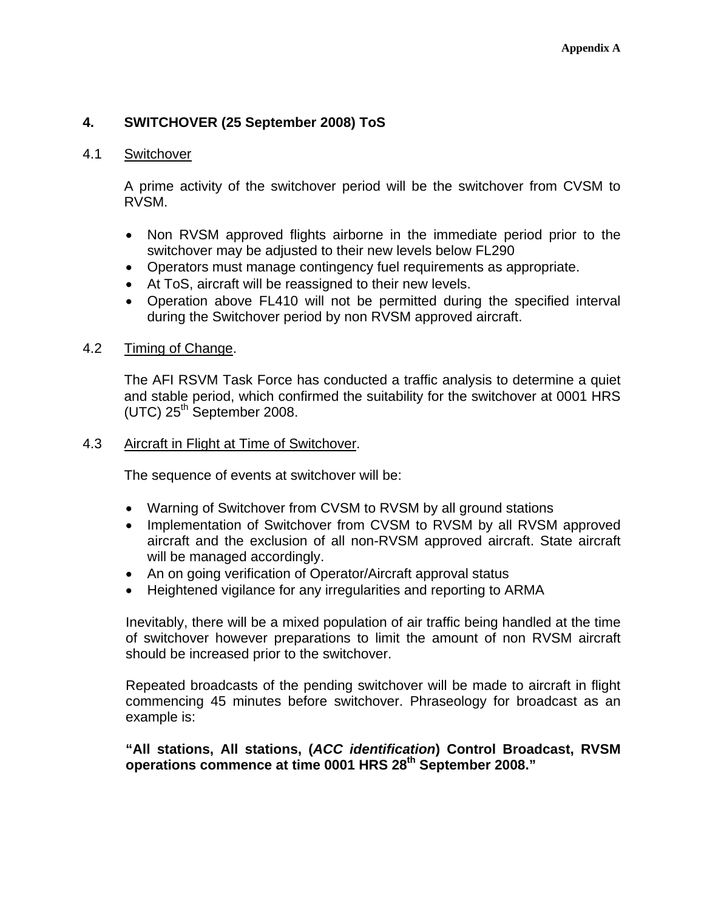# **4. SWITCHOVER (25 September 2008) ToS**

#### 4.1 Switchover

A prime activity of the switchover period will be the switchover from CVSM to RVSM.

- Non RVSM approved flights airborne in the immediate period prior to the switchover may be adjusted to their new levels below FL290
- Operators must manage contingency fuel requirements as appropriate.
- At ToS, aircraft will be reassigned to their new levels.
- Operation above FL410 will not be permitted during the specified interval during the Switchover period by non RVSM approved aircraft.

#### 4.2 Timing of Change.

The AFI RSVM Task Force has conducted a traffic analysis to determine a quiet and stable period, which confirmed the suitability for the switchover at 0001 HRS  $(UTC)$  25<sup>th</sup> September 2008.

#### 4.3 Aircraft in Flight at Time of Switchover.

The sequence of events at switchover will be:

- Warning of Switchover from CVSM to RVSM by all ground stations
- Implementation of Switchover from CVSM to RVSM by all RVSM approved aircraft and the exclusion of all non-RVSM approved aircraft. State aircraft will be managed accordingly.
- An on going verification of Operator/Aircraft approval status
- Heightened vigilance for any irregularities and reporting to ARMA

Inevitably, there will be a mixed population of air traffic being handled at the time of switchover however preparations to limit the amount of non RVSM aircraft should be increased prior to the switchover.

Repeated broadcasts of the pending switchover will be made to aircraft in flight commencing 45 minutes before switchover. Phraseology for broadcast as an example is:

#### **"All stations, All stations, (***ACC identification***) Control Broadcast, RVSM operations commence at time 0001 HRS 28th September 2008."**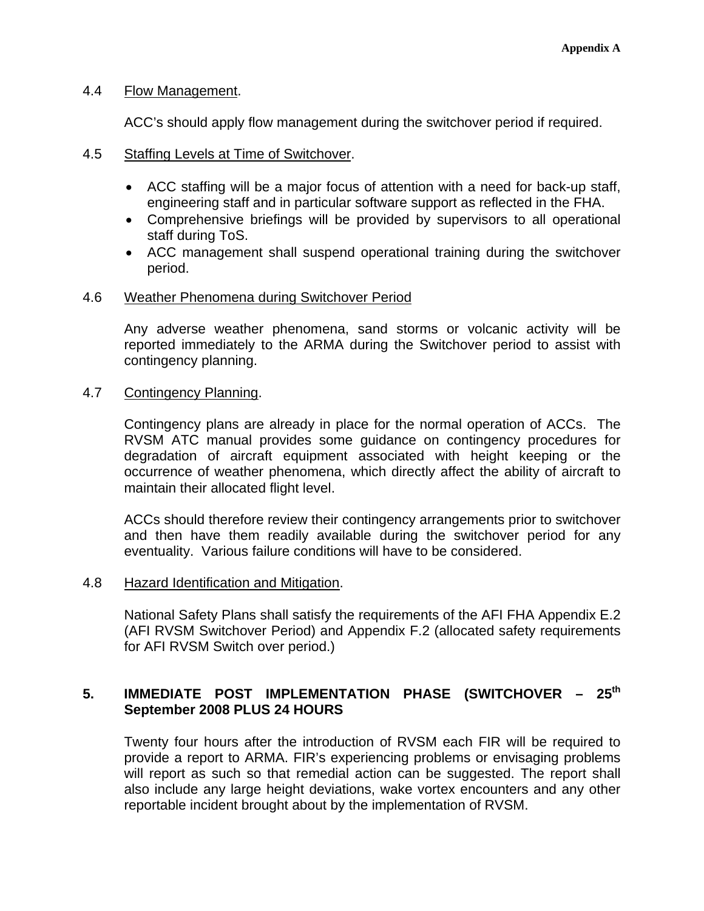#### 4.4 Flow Management.

ACC's should apply flow management during the switchover period if required.

- 4.5 Staffing Levels at Time of Switchover.
	- ACC staffing will be a major focus of attention with a need for back-up staff, engineering staff and in particular software support as reflected in the FHA.
	- Comprehensive briefings will be provided by supervisors to all operational staff during ToS.
	- ACC management shall suspend operational training during the switchover period.

#### 4.6 Weather Phenomena during Switchover Period

Any adverse weather phenomena, sand storms or volcanic activity will be reported immediately to the ARMA during the Switchover period to assist with contingency planning.

#### 4.7 Contingency Planning.

Contingency plans are already in place for the normal operation of ACCs. The RVSM ATC manual provides some guidance on contingency procedures for degradation of aircraft equipment associated with height keeping or the occurrence of weather phenomena, which directly affect the ability of aircraft to maintain their allocated flight level.

ACCs should therefore review their contingency arrangements prior to switchover and then have them readily available during the switchover period for any eventuality. Various failure conditions will have to be considered.

#### 4.8 Hazard Identification and Mitigation.

National Safety Plans shall satisfy the requirements of the AFI FHA Appendix E.2 (AFI RVSM Switchover Period) and Appendix F.2 (allocated safety requirements for AFI RVSM Switch over period.)

## 5. **IMMEDIATE POST IMPLEMENTATION PHASE (SWITCHOVER - 25<sup>th</sup> September 2008 PLUS 24 HOURS**

Twenty four hours after the introduction of RVSM each FIR will be required to provide a report to ARMA. FIR's experiencing problems or envisaging problems will report as such so that remedial action can be suggested. The report shall also include any large height deviations, wake vortex encounters and any other reportable incident brought about by the implementation of RVSM.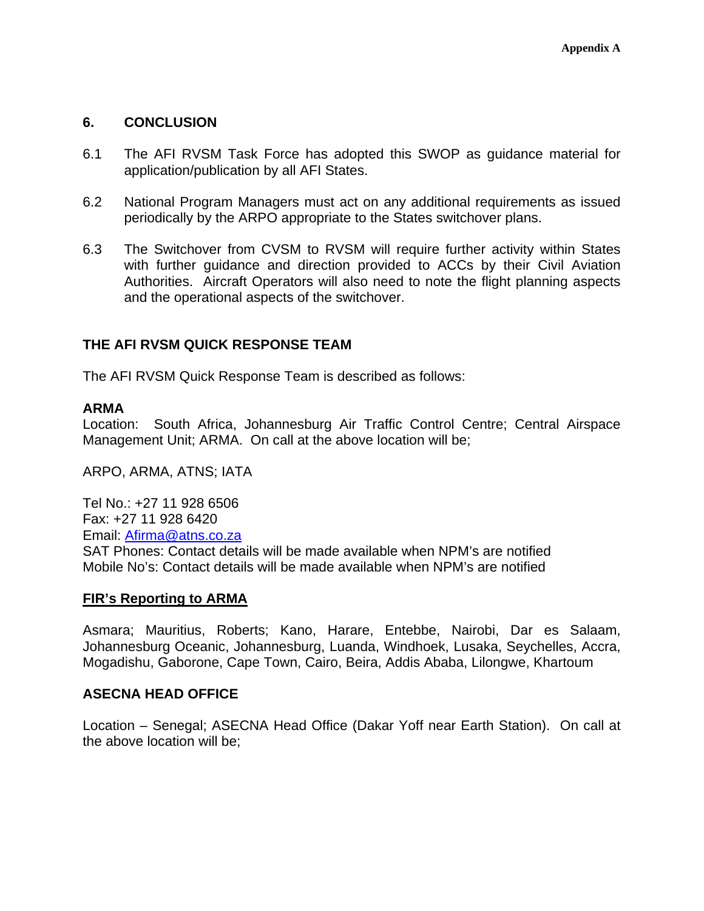#### **6. CONCLUSION**

- 6.1 The AFI RVSM Task Force has adopted this SWOP as guidance material for application/publication by all AFI States.
- 6.2 National Program Managers must act on any additional requirements as issued periodically by the ARPO appropriate to the States switchover plans.
- 6.3 The Switchover from CVSM to RVSM will require further activity within States with further guidance and direction provided to ACCs by their Civil Aviation Authorities. Aircraft Operators will also need to note the flight planning aspects and the operational aspects of the switchover.

## **THE AFI RVSM QUICK RESPONSE TEAM**

The AFI RVSM Quick Response Team is described as follows:

#### **ARMA**

Location: South Africa, Johannesburg Air Traffic Control Centre; Central Airspace Management Unit; ARMA. On call at the above location will be;

ARPO, ARMA, ATNS; IATA

Tel No.: +27 11 928 6506 Fax: +27 11 928 6420 Email: Afirma@atns.co.za SAT Phones: Contact details will be made available when NPM's are notified Mobile No's: Contact details will be made available when NPM's are notified

#### **FIR's Reporting to ARMA**

Asmara; Mauritius, Roberts; Kano, Harare, Entebbe, Nairobi, Dar es Salaam, Johannesburg Oceanic, Johannesburg, Luanda, Windhoek, Lusaka, Seychelles, Accra, Mogadishu, Gaborone, Cape Town, Cairo, Beira, Addis Ababa, Lilongwe, Khartoum

#### **ASECNA HEAD OFFICE**

Location – Senegal; ASECNA Head Office (Dakar Yoff near Earth Station). On call at the above location will be;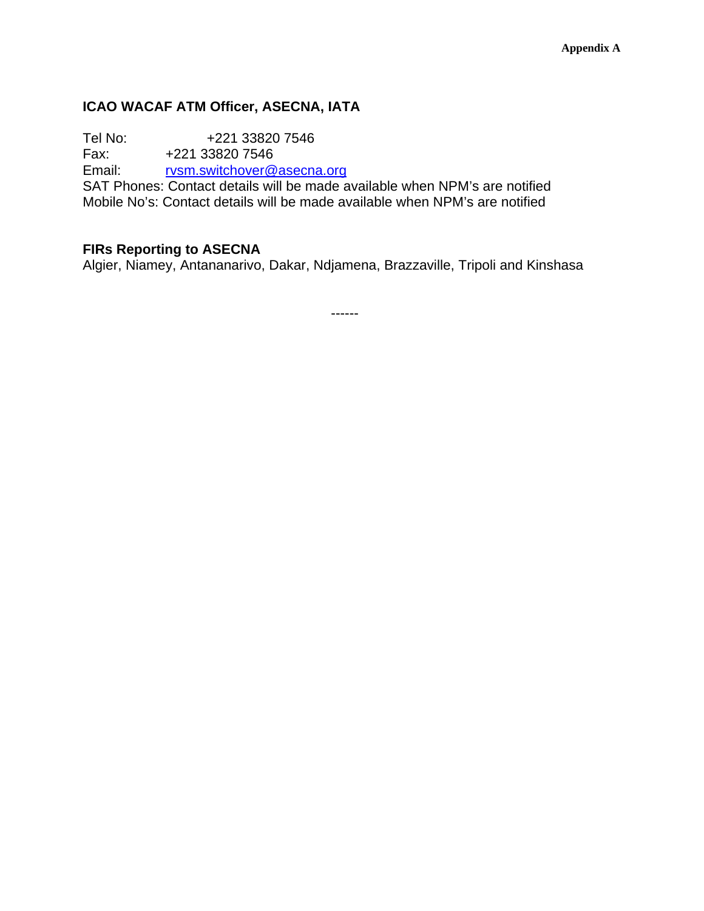# **ICAO WACAF ATM Officer, ASECNA, IATA**

Tel No: +221 33820 7546<br>Fax: +221 33820 7546

Fax: +221 33820 7546<br>Email: rvsm.switchover@

rvsm.switchover@asecna.org

SAT Phones: Contact details will be made available when NPM's are notified Mobile No's: Contact details will be made available when NPM's are notified

# **FIRs Reporting to ASECNA**

Algier, Niamey, Antananarivo, Dakar, Ndjamena, Brazzaville, Tripoli and Kinshasa

------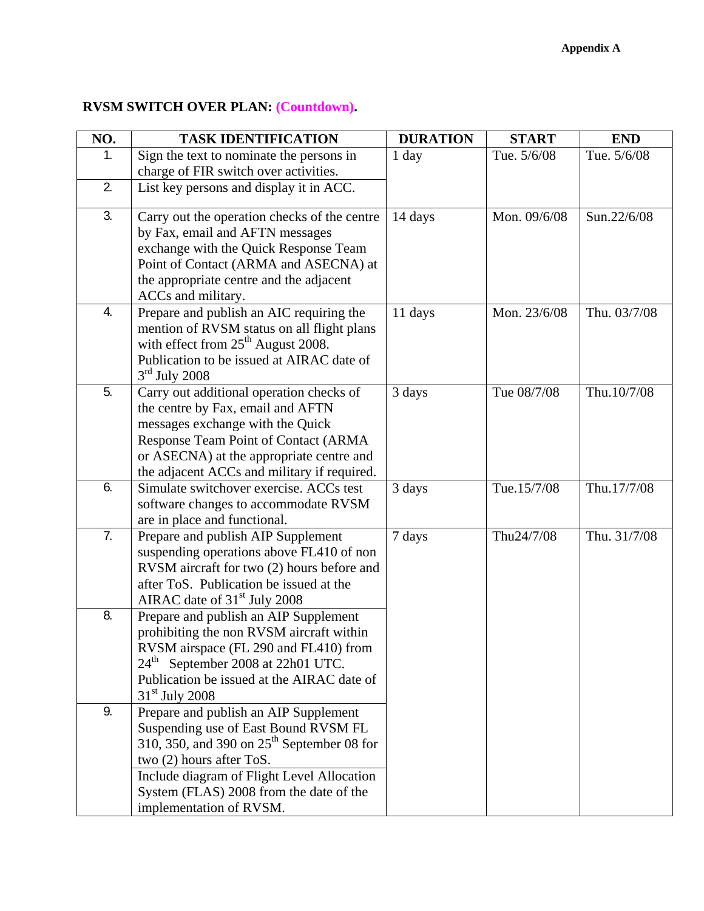# **RVSM SWITCH OVER PLAN: (Countdown).**

| NO. | <b>TASK IDENTIFICATION</b>                                                             | <b>DURATION</b> | <b>START</b> | <b>END</b>   |
|-----|----------------------------------------------------------------------------------------|-----------------|--------------|--------------|
| 1.  | Sign the text to nominate the persons in                                               | $1$ day         | Tue. 5/6/08  | Tue. 5/6/08  |
|     | charge of FIR switch over activities.                                                  |                 |              |              |
| 2.  | List key persons and display it in ACC.                                                |                 |              |              |
| 3.  | Carry out the operation checks of the centre                                           | 14 days         | Mon. 09/6/08 | Sun.22/6/08  |
|     | by Fax, email and AFTN messages                                                        |                 |              |              |
|     | exchange with the Quick Response Team                                                  |                 |              |              |
|     | Point of Contact (ARMA and ASECNA) at                                                  |                 |              |              |
|     | the appropriate centre and the adjacent                                                |                 |              |              |
| 4.  | ACCs and military.                                                                     |                 |              |              |
|     | Prepare and publish an AIC requiring the                                               | 11 days         | Mon. 23/6/08 | Thu. 03/7/08 |
|     | mention of RVSM status on all flight plans<br>with effect from $25th$ August 2008.     |                 |              |              |
|     | Publication to be issued at AIRAC date of                                              |                 |              |              |
|     | $3rd$ July 2008                                                                        |                 |              |              |
| 5.  | Carry out additional operation checks of                                               | 3 days          | Tue 08/7/08  | Thu.10/7/08  |
|     | the centre by Fax, email and AFTN                                                      |                 |              |              |
|     | messages exchange with the Quick                                                       |                 |              |              |
|     | <b>Response Team Point of Contact (ARMA</b>                                            |                 |              |              |
|     | or ASECNA) at the appropriate centre and                                               |                 |              |              |
|     | the adjacent ACCs and military if required.                                            |                 |              |              |
| 6.  | Simulate switchover exercise. ACCs test                                                | 3 days          | Tue.15/7/08  | Thu.17/7/08  |
|     | software changes to accommodate RVSM                                                   |                 |              |              |
| 7.  | are in place and functional.                                                           |                 |              |              |
|     | Prepare and publish AIP Supplement                                                     | 7 days          | Thu24/7/08   | Thu. 31/7/08 |
|     | suspending operations above FL410 of non<br>RVSM aircraft for two (2) hours before and |                 |              |              |
|     | after ToS. Publication be issued at the                                                |                 |              |              |
|     | AIRAC date of 31 <sup>st</sup> July 2008                                               |                 |              |              |
| 8.  | Prepare and publish an AIP Supplement                                                  |                 |              |              |
|     | prohibiting the non RVSM aircraft within                                               |                 |              |              |
|     | RVSM airspace (FL 290 and FL410) from                                                  |                 |              |              |
|     | $24th$ September 2008 at 22h01 UTC.                                                    |                 |              |              |
|     | Publication be issued at the AIRAC date of                                             |                 |              |              |
|     | $31st$ July 2008                                                                       |                 |              |              |
| 9.  | Prepare and publish an AIP Supplement                                                  |                 |              |              |
|     | Suspending use of East Bound RVSM FL                                                   |                 |              |              |
|     | 310, 350, and 390 on 25 <sup>th</sup> September 08 for                                 |                 |              |              |
|     | two (2) hours after ToS.                                                               |                 |              |              |
|     | Include diagram of Flight Level Allocation                                             |                 |              |              |
|     | System (FLAS) 2008 from the date of the                                                |                 |              |              |
|     | implementation of RVSM.                                                                |                 |              |              |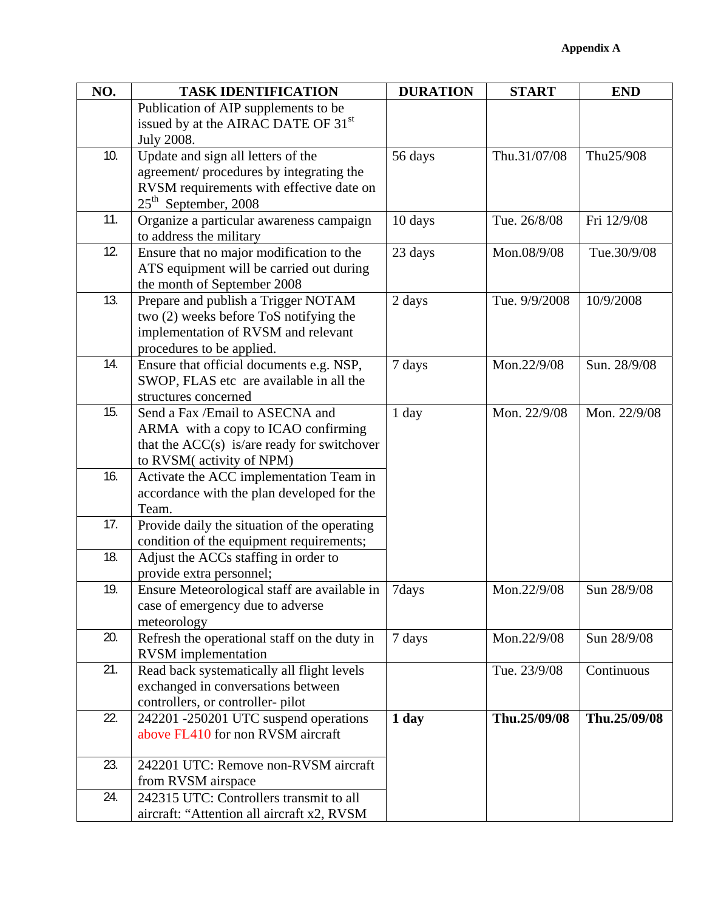| NO. | <b>TASK IDENTIFICATION</b>                                            | <b>DURATION</b> | <b>START</b>  | <b>END</b>   |
|-----|-----------------------------------------------------------------------|-----------------|---------------|--------------|
|     | Publication of AIP supplements to be                                  |                 |               |              |
|     | issued by at the AIRAC DATE OF 31 <sup>st</sup>                       |                 |               |              |
|     | <b>July 2008.</b>                                                     |                 |               |              |
| 10. | Update and sign all letters of the                                    | 56 days         | Thu.31/07/08  | Thu25/908    |
|     | agreement/procedures by integrating the                               |                 |               |              |
|     | RVSM requirements with effective date on                              |                 |               |              |
|     | $25th$ September, 2008                                                |                 |               |              |
| 11. | Organize a particular awareness campaign                              | 10 days         | Tue. 26/8/08  | Fri 12/9/08  |
|     | to address the military                                               |                 |               |              |
| 12. | Ensure that no major modification to the                              | 23 days         | Mon.08/9/08   | Tue.30/9/08  |
|     | ATS equipment will be carried out during                              |                 |               |              |
|     | the month of September 2008                                           |                 |               |              |
| 13. | Prepare and publish a Trigger NOTAM                                   | 2 days          | Tue. 9/9/2008 | 10/9/2008    |
|     | two (2) weeks before ToS notifying the                                |                 |               |              |
|     | implementation of RVSM and relevant                                   |                 |               |              |
| 14. | procedures to be applied.<br>Ensure that official documents e.g. NSP, | 7 days          | Mon.22/9/08   | Sun. 28/9/08 |
|     | SWOP, FLAS etc are available in all the                               |                 |               |              |
|     | structures concerned                                                  |                 |               |              |
| 15. | Send a Fax /Email to ASECNA and                                       | 1 day           | Mon. 22/9/08  | Mon. 22/9/08 |
|     | ARMA with a copy to ICAO confirming                                   |                 |               |              |
|     | that the $ACC(s)$ is/are ready for switchover                         |                 |               |              |
|     | to RVSM(activity of NPM)                                              |                 |               |              |
| 16. | Activate the ACC implementation Team in                               |                 |               |              |
|     | accordance with the plan developed for the                            |                 |               |              |
|     | Team.                                                                 |                 |               |              |
| 17. | Provide daily the situation of the operating                          |                 |               |              |
|     | condition of the equipment requirements;                              |                 |               |              |
| 18. | Adjust the ACCs staffing in order to                                  |                 |               |              |
|     | provide extra personnel;                                              |                 |               |              |
| 19. | Ensure Meteorological staff are available in                          | 7days           | Mon.22/9/08   | Sun 28/9/08  |
|     | case of emergency due to adverse                                      |                 |               |              |
|     | meteorology                                                           |                 |               |              |
| 20. | Refresh the operational staff on the duty in                          | 7 days          | Mon.22/9/08   | Sun 28/9/08  |
|     | <b>RVSM</b> implementation                                            |                 |               |              |
| 21. | Read back systematically all flight levels                            |                 | Tue. 23/9/08  | Continuous   |
|     | exchanged in conversations between                                    |                 |               |              |
|     | controllers, or controller-pilot                                      |                 |               |              |
| 22. | 242201 -250201 UTC suspend operations                                 | 1 day           | Thu.25/09/08  | Thu.25/09/08 |
|     | above FL410 for non RVSM aircraft                                     |                 |               |              |
| 23. | 242201 UTC: Remove non-RVSM aircraft                                  |                 |               |              |
|     | from RVSM airspace                                                    |                 |               |              |
| 24. | 242315 UTC: Controllers transmit to all                               |                 |               |              |
|     | aircraft: "Attention all aircraft x2, RVSM                            |                 |               |              |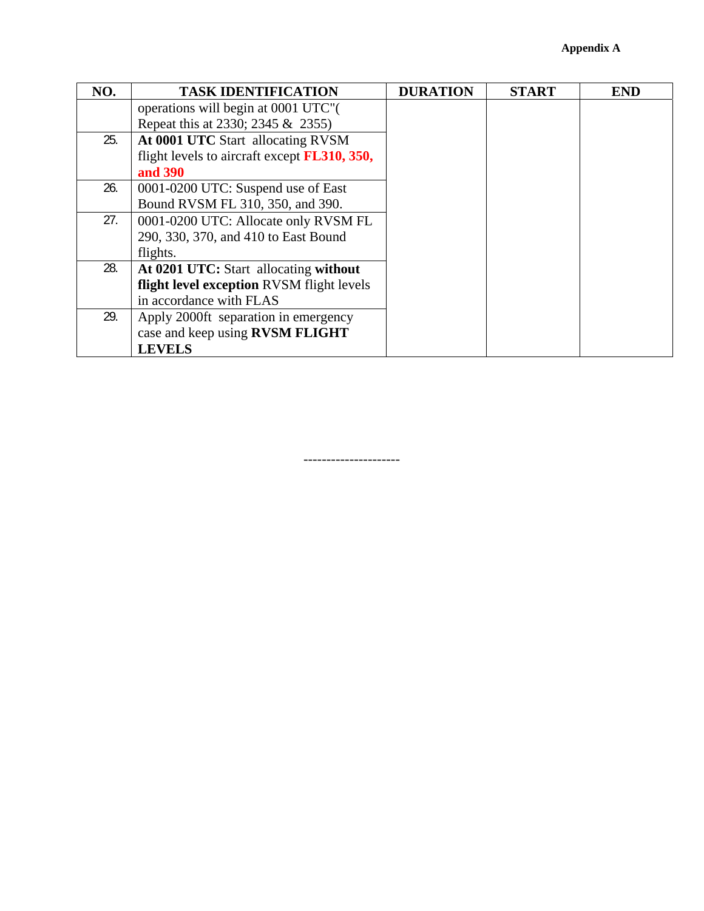| NO. | <b>TASK IDENTIFICATION</b>                           | <b>DURATION</b> | <b>START</b> | <b>END</b> |
|-----|------------------------------------------------------|-----------------|--------------|------------|
|     | operations will begin at 0001 UTC".                  |                 |              |            |
|     | Repeat this at 2330; 2345 & 2355)                    |                 |              |            |
| 25. | At 0001 UTC Start allocating RVSM                    |                 |              |            |
|     | flight levels to aircraft except <b>FL310</b> , 350, |                 |              |            |
|     | and 390                                              |                 |              |            |
| 26. | 0001-0200 UTC: Suspend use of East                   |                 |              |            |
|     | Bound RVSM FL 310, 350, and 390.                     |                 |              |            |
| 27. | 0001-0200 UTC: Allocate only RVSM FL                 |                 |              |            |
|     | 290, 330, 370, and 410 to East Bound                 |                 |              |            |
|     | flights.                                             |                 |              |            |
| 28. | At 0201 UTC: Start allocating without                |                 |              |            |
|     | flight level exception RVSM flight levels            |                 |              |            |
|     | in accordance with FLAS                              |                 |              |            |
| 29. | Apply 2000ft separation in emergency                 |                 |              |            |
|     | case and keep using RVSM FLIGHT                      |                 |              |            |
|     | <b>LEVELS</b>                                        |                 |              |            |

---------------------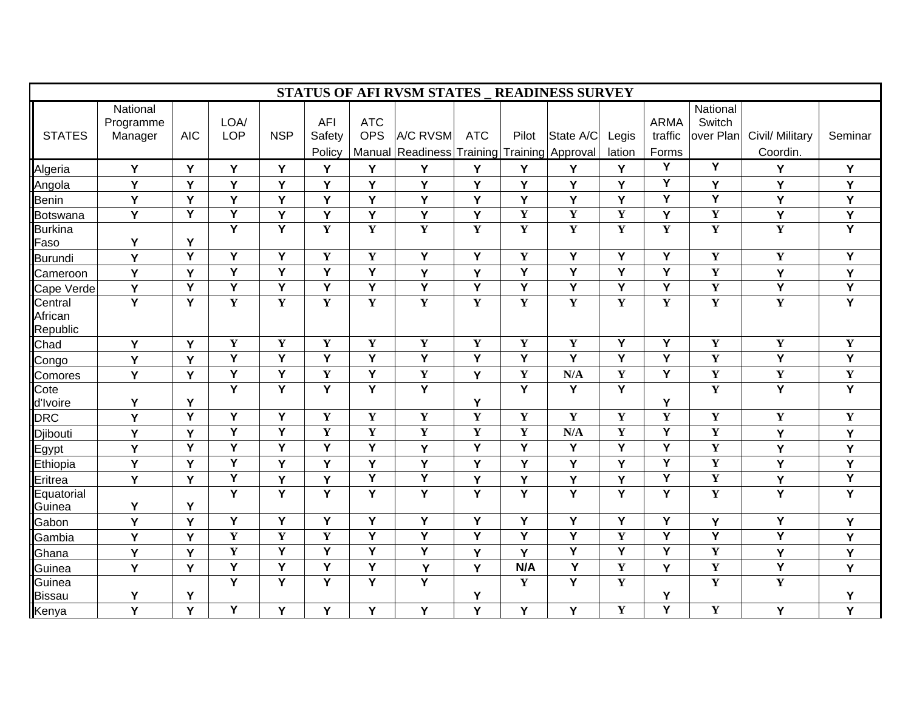|                                |                                  |                         |                         |                         |                                |                                    | STATUS OF AFI RVSM STATES _ READINESS SURVEY |                         |                         |                                |                 |                                 |                                 |                             |                         |
|--------------------------------|----------------------------------|-------------------------|-------------------------|-------------------------|--------------------------------|------------------------------------|----------------------------------------------|-------------------------|-------------------------|--------------------------------|-----------------|---------------------------------|---------------------------------|-----------------------------|-------------------------|
| <b>STATES</b>                  | National<br>Programme<br>Manager | <b>AIC</b>              | LOA/<br><b>LOP</b>      | <b>NSP</b>              | <b>AFI</b><br>Safety<br>Policy | <b>ATC</b><br><b>OPS</b><br>Manual | A/C RVSM<br>Readiness                        | <b>ATC</b><br>Training  | Pilot                   | State A/C<br>Training Approval | Legis<br>lation | <b>ARMA</b><br>traffic<br>Forms | National<br>Switch<br>over Plan | Civil/ Military<br>Coordin. | Seminar                 |
| Algeria                        | Y                                | Y                       | Y                       | Y                       | Y                              | Y                                  | Y                                            | Y                       | Y                       | Y                              | Y               | Y                               | $\overline{\mathsf{Y}}$         | Y                           | Y                       |
| Angola                         | Y                                | Y                       | Y                       | Y                       | Ý                              | Y                                  | Y                                            | Y                       | Ý                       | Y                              | Y               | Y                               | Y                               | Y                           | Y                       |
| <b>Benin</b>                   | Y                                | Y                       | Y                       | Y                       | Y                              | Y                                  | Y                                            | Y                       | Y                       | Y                              | Y               | $\overline{Y}$                  | Y                               | Y                           | Y                       |
| <b>Botswana</b>                | Y                                | $\overline{Y}$          | Y                       | Y                       | Y                              | Y                                  | Y                                            | Y                       | Y                       | $\mathbf Y$                    | $\mathbf Y$     | Y                               | $\mathbf Y$                     | Y                           | Y                       |
| <b>Burkina</b><br>Faso         | Y                                | Y                       | Y                       | $\overline{\mathsf{Y}}$ | $\mathbf{Y}$                   | $\overline{\mathbf{Y}}$            | $\overline{\mathbf{Y}}$                      | $\mathbf Y$             | $\mathbf Y$             | $\mathbf Y$                    | $\mathbf Y$     | $\mathbf Y$                     | $\mathbf Y$                     | $\mathbf Y$                 | $\overline{\mathsf{Y}}$ |
| <b>Burundi</b>                 | Y                                | $\overline{Y}$          | $\overline{\mathsf{Y}}$ | $\overline{Y}$          | $\mathbf{Y}$                   | $\overline{\mathbf{Y}}$            | $\overline{\mathsf{Y}}$                      | $\overline{\mathsf{Y}}$ | $\mathbf{Y}$            | $\overline{\mathsf{Y}}$        | $\overline{Y}$  | $\overline{Y}$                  | $\mathbf Y$                     | $\mathbf{Y}$                | Ÿ                       |
| Cameroon                       | Y                                | Y                       | Y                       | Y                       | Y                              | Y                                  | Y                                            | Y                       | Y                       | Y                              | Y               | Y                               | $\mathbf Y$                     | Y                           | Y                       |
| Cape Verde                     | Y                                | $\overline{\mathsf{Y}}$ | Y                       | $\overline{Y}$          | Ÿ                              | Y                                  | $\overline{\mathsf{Y}}$                      | Y                       | $\overline{\mathsf{Y}}$ | Ÿ                              | Ÿ               | $\overline{\mathsf{Y}}$         | $\overline{\mathbf{Y}}$         | $\overline{Y}$              | $\overline{Y}$          |
| Central<br>African<br>Republic | $\overline{Y}$                   | $\overline{\mathsf{Y}}$ | Y                       | $\mathbf{Y}$            | $\mathbf{Y}$                   | Y                                  | $\overline{\mathbf{Y}}$                      | Y                       | Y                       | $\mathbf Y$                    | $\mathbf Y$     | $\mathbf Y$                     | $\mathbf Y$                     | $\mathbf Y$                 | $\overline{Y}$          |
| Chad                           | Y                                | Y                       | $\overline{\mathbf{Y}}$ | $\mathbf{Y}$            | $\mathbf Y$                    | $\overline{\mathbf{Y}}$            | $\overline{\mathbf{Y}}$                      | $\overline{\mathbf{Y}}$ | $\mathbf Y$             | $\mathbf Y$                    | $\overline{Y}$  | $\overline{\mathsf{Y}}$         | $\mathbf Y$                     | $\mathbf Y$                 | $\overline{\mathbf{Y}}$ |
| Congo                          | Y                                | Y                       | Y                       | Y                       | Y                              | $\overline{Y}$                     | $\overline{\mathsf{Y}}$                      | $\overline{\mathsf{Y}}$ | Y                       | Ÿ                              | Y               | Y                               | $\mathbf Y$                     | Ÿ                           | $\overline{Y}$          |
| Comores                        | Y                                | Y                       | Y                       | Y                       | $\mathbf{Y}$                   | Y                                  | $\overline{\mathbf{Y}}$                      | Y                       | $\mathbf Y$             | N/A                            | $\mathbf Y$     | $\overline{Y}$                  | $\overline{\mathbf{Y}}$         | $\mathbf Y$                 | $\overline{\mathbf{Y}}$ |
| Cote<br>d'Ivoire               | Y                                | Y                       | Y                       | Y                       | Y                              | Y                                  | $\overline{Y}$                               | Y                       | Y                       | Y                              | Y               | Υ                               | $\mathbf Y$                     | $\overline{\mathsf{Y}}$     | $\overline{\mathsf{Y}}$ |
| <b>DRC</b>                     | Y                                | Y                       | Y                       | Y                       | $\mathbf{Y}$                   | $\overline{\mathbf{Y}}$            | $\overline{\mathbf{Y}}$                      | $\overline{\mathbf{Y}}$ | Y                       | $\mathbf Y$                    | $\mathbf Y$     | Y                               | $\mathbf Y$                     | $\mathbf Y$                 | $\overline{\mathbf{Y}}$ |
| Djibouti                       | Y                                | Y                       | Y                       | Y                       | $\mathbf Y$                    | $\mathbf Y$                        | $\mathbf Y$                                  | $\mathbf Y$             | Y                       | N/A                            | $\mathbf Y$     | Y                               | $\mathbf Y$                     | Y                           | Y                       |
| Egypt                          | Y                                | $\overline{\mathsf{Y}}$ | $\overline{\mathsf{Y}}$ | $\overline{Y}$          | Ÿ                              | $\overline{\mathsf{Y}}$            | Y                                            | $\overline{\mathsf{Y}}$ | Ÿ                       | Ÿ                              | $\overline{Y}$  | $\overline{Y}$                  | Y                               | Y                           | Y                       |
| Ethiopia                       | Y                                | Y                       | Y                       | Y                       | Y                              | Y                                  | Y                                            | Y                       | Y                       | Y                              | Y               | Y                               | $\mathbf Y$                     | Y                           | Υ                       |
| Eritrea                        | Y                                | Y                       | Y                       | Y                       | Y                              | Y                                  | Y                                            | Y                       | Y                       | Y                              | Y               | Y                               | $\mathbf Y$                     | Y                           | $\overline{Y}$          |
| Equatorial<br>Guinea           | Y                                | Y                       | Y                       | Y                       | Y                              | Y                                  | $\overline{Y}$                               | Y                       | Y                       | Y                              | Y               | Y                               | $\mathbf Y$                     | Y                           | $\overline{Y}$          |
| Gabon                          | Y                                | Y                       | Y                       | Y                       | Y                              | Y                                  | Y                                            | Y                       | Y                       | Y                              | Y               | Y                               | Y                               | Y                           | Y                       |
| Gambia                         | Y                                | Y                       | $\mathbf Y$             | $\mathbf Y$             | $\mathbf Y$                    | Y                                  | Y                                            | Y                       | Ÿ                       | Ÿ                              | $\mathbf Y$     | Y                               | Y                               | Y                           | $\mathsf Y$             |
| Ghana                          | Y                                | Y                       | $\mathbf Y$             | Y                       | Ÿ                              | Y                                  | Ÿ                                            | Y                       | Y                       | Ÿ                              | Y               | $\overline{\mathsf{Y}}$         | $\mathbf Y$                     | Y                           | Y                       |
| Guinea                         | Y                                | Y                       | $\overline{Y}$          | $\overline{Y}$          | Y                              | Y                                  | Y                                            | Y                       | N/A                     | $\overline{Y}$                 | $\mathbf Y$     | Y                               | $\mathbf Y$                     | $\overline{Y}$              | Y                       |
| Guinea<br><b>Bissau</b>        | Y                                | Υ                       | Y                       | Y                       | Y                              | Y                                  | $\overline{\mathsf{Y}}$                      | Υ                       | $\mathbf{Y}$            | Y                              | $\mathbf Y$     | Υ                               | $\mathbf Y$                     | $\overline{\mathbf{Y}}$     | Υ                       |
| Kenya                          | Y                                | Y                       | Y                       | Y                       | Y                              | Y                                  | Y                                            | Y                       | Y                       | Y                              | $\mathbf Y$     | $\overline{\mathsf{Y}}$         | $\mathbf Y$                     | Y                           | Y                       |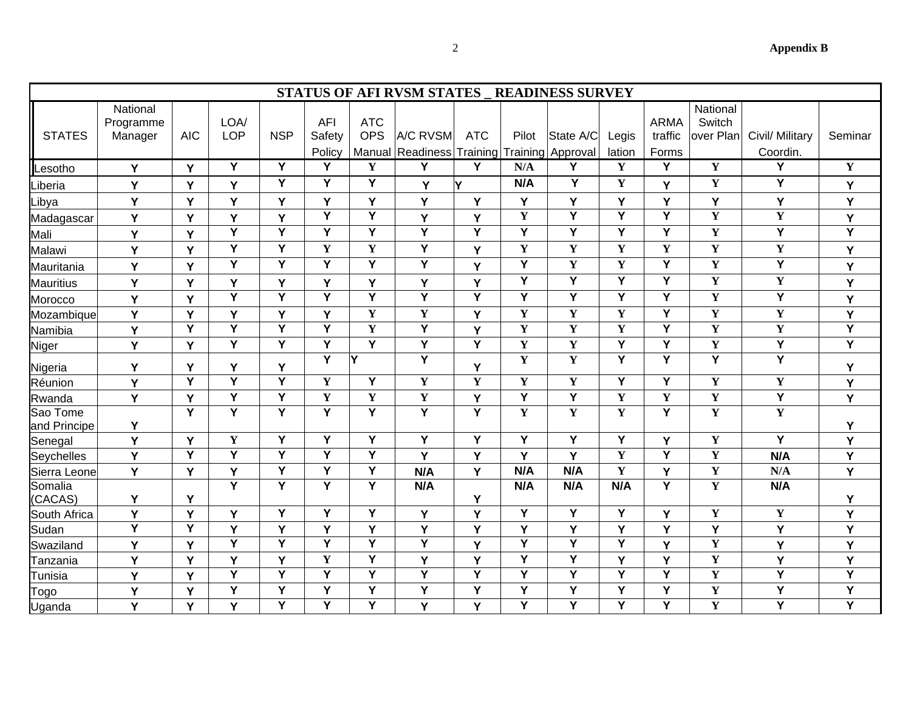**Appendix B** 

| ٧      |  |
|--------|--|
| ł<br>٠ |  |
|        |  |

|                          | <b>STATUS OF AFI RVSM STATES _ READINESS SURVEY</b> |                |                         |                         |                                |                          |                              |                         |                         |                                |                         |                                 |                                 |                             |                         |
|--------------------------|-----------------------------------------------------|----------------|-------------------------|-------------------------|--------------------------------|--------------------------|------------------------------|-------------------------|-------------------------|--------------------------------|-------------------------|---------------------------------|---------------------------------|-----------------------------|-------------------------|
| <b>STATES</b>            | National<br>Programme<br>Manager                    | <b>AIC</b>     | LOA/<br>LOP             | <b>NSP</b>              | <b>AFI</b><br>Safety<br>Policy | <b>ATC</b><br><b>OPS</b> | A/C RVSM<br>Manual Readiness | <b>ATC</b><br>Training  | Pilot                   | State A/C<br>Training Approval | Legis<br>lation         | <b>ARMA</b><br>traffic<br>Forms | National<br>Switch<br>over Plan | Civil/ Military<br>Coordin. | Seminar                 |
| Lesotho                  | Y                                                   | Y              | Y                       | $\overline{Y}$          | Y                              | Y                        | Y                            | Y                       | N/A                     | Y                              | Y                       | Y                               | $\mathbf Y$                     | Y                           | $\mathbf Y$             |
| _iberia                  | Y                                                   | Y              | Y                       | Y                       | Y                              | Y                        | Y                            | Υ                       | N/A                     | Y                              | $\mathbf Y$             | Y                               | $\mathbf Y$                     | Y                           | Y                       |
| _ibya                    | Ý                                                   | Y              | Y                       | Y                       | Y                              | Y                        | Y                            | Y                       | Y                       | Y                              | Y                       | Y                               | Y                               | Y                           | Y                       |
| Madagascar               | Y                                                   | Y              | Y                       | Y                       | $\overline{\mathsf{Y}}$        | $\overline{Y}$           | Y                            | Y                       | $\mathbf{Y}$            | $\overline{Y}$                 | $\overline{\mathsf{Y}}$ | $\overline{\mathsf{Y}}$         | $\mathbf Y$                     | $\mathbf Y$                 | Y                       |
| Mali                     | Y                                                   | Y              | $\overline{Y}$          | $\overline{Y}$          | Y                              | Y                        | $\overline{Y}$               | $\overline{\mathsf{Y}}$ | Y                       | Y                              | Y                       | Y                               | $\mathbf Y$                     | Y                           | $\overline{\mathsf{Y}}$ |
| Malawi                   | Y                                                   | Y              | Y                       | $\overline{Y}$          | $\mathbf Y$                    | $\mathbf Y$              | $\overline{Y}$               | Y                       | $\mathbf Y$             | Y                              | $\mathbf Y$             | Y                               | $\mathbf Y$                     | $\mathbf Y$                 | Y                       |
| Mauritania               | Y                                                   | Y              | $\overline{\mathsf{Y}}$ | $\overline{Y}$          | Y                              | $\overline{Y}$           | $\overline{Y}$               | Y                       | $\overline{\mathsf{Y}}$ | $\mathbf Y$                    | $\mathbf Y$             | Ÿ                               | $\mathbf Y$                     | Ÿ                           | Υ                       |
| Mauritius                | Y                                                   | Y              | Y                       | Y                       | Y                              | Y                        | Y                            | Y                       | Ÿ                       | $\overline{Y}$                 | Ÿ                       | Ÿ                               | $\overline{\mathbf{Y}}$         | $\mathbf Y$                 | Y                       |
| Morocco                  | Y                                                   | Y              | $\overline{\mathsf{Y}}$ | $\overline{Y}$          | $\overline{\mathsf{Y}}$        | $\overline{Y}$           | $\overline{Y}$               | $\overline{Y}$          | $\overline{Y}$          | $\overline{\mathsf{Y}}$        | Y                       | Y                               | $\mathbf Y$                     | Y                           | Υ                       |
| Mozambique               | Ý                                                   | Y              | Y                       | Y                       | Y                              | $\mathbf Y$              | $\mathbf Y$                  | Y                       | $\mathbf Y$             | Y                              | $\mathbf Y$             | Y                               | $\overline{\mathbf{Y}}$         | $\mathbf Y$                 | Y                       |
| Namibia                  | Y                                                   | $\overline{Y}$ | $\overline{Y}$          | $\overline{Y}$          | Y                              | $\mathbf Y$              | $\overline{\mathsf{Y}}$      | Y                       | $\mathbf Y$             | $\mathbf Y$                    | $\mathbf Y$             | Ÿ                               | $\mathbf Y$                     | $\mathbf Y$                 | $\overline{Y}$          |
| Niger                    | Y                                                   | Y              | $\overline{\mathsf{Y}}$ | $\overline{Y}$          | $\overline{\mathsf{Y}}$        | $\overline{Y}$           | $\overline{Y}$               | $\overline{\mathsf{Y}}$ | $\overline{\mathbf{Y}}$ | $\overline{\mathbf{Y}}$        | $\overline{\mathsf{Y}}$ | Ÿ                               | $\mathbf Y$                     | $\overline{Y}$              | $\overline{\mathsf{Y}}$ |
| Nigeria                  | Y                                                   | Y              | Y                       | Y                       | $\overline{Y}$                 | ĪΥ                       | $\overline{Y}$               | Y                       | $\overline{\mathbf{Y}}$ | $\overline{\mathbf{Y}}$        | $\overline{\mathsf{Y}}$ | $\overline{\mathsf{Y}}$         | $\overline{\mathsf{Y}}$         | Ÿ                           | Υ                       |
| Réunion                  | Ý                                                   | $\overline{Y}$ | $\overline{\mathsf{Y}}$ | $\overline{Y}$          | $\mathbf Y$                    | Y                        | $\overline{\mathbf{Y}}$      | $\mathbf{Y}$            | $\mathbf Y$             | Y                              | Y                       | Y                               | $\mathbf Y$                     | $\mathbf Y$                 | Y                       |
| Rwanda                   | Y                                                   | Y              | $\overline{Y}$          | $\overline{Y}$          | $\mathbf Y$                    | $\mathbf Y$              | $\overline{\mathbf{Y}}$      | Y                       | $\overline{\mathsf{Y}}$ | $\overline{Y}$                 | $\mathbf Y$             | $\mathbf Y$                     | $\mathbf Y$                     | $\overline{Y}$              | Y                       |
| Sao Tome<br>and Principe | Υ                                                   | $\overline{Y}$ | Y                       | $\overline{\mathsf{Y}}$ | $\overline{\mathsf{Y}}$        | $\overline{Y}$           | $\overline{Y}$               | $\overline{\mathsf{Y}}$ | $\mathbf Y$             | $\mathbf Y$                    | $\overline{\mathbf{Y}}$ | Y                               | $\overline{\mathbf{Y}}$         | $\overline{\mathbf{Y}}$     | Y                       |
| Senegal                  | Y                                                   | Y              | $\mathbf Y$             | Y                       | Y                              | Y                        | Y                            | Y                       | Y                       | Y                              | Υ                       | Y                               | $\mathbf Y$                     | Y                           | Y                       |
| Seychelles               | Y                                                   | $\overline{Y}$ | $\overline{Y}$          | $\overline{Y}$          | Ÿ                              | Y                        | Y                            | Y                       | Y                       | Y                              | $\mathbf Y$             | Y                               | $\mathbf Y$                     | N/A                         | Y                       |
| Sierra Leone             | Y                                                   | Y              | Y                       | $\overline{Y}$          | $\overline{\mathsf{Y}}$        | $\overline{Y}$           | N/A                          | Y                       | N/A                     | N/A                            | $\mathbf Y$             | Y                               | $\mathbf Y$                     | N/A                         | $\overline{Y}$          |
| Somalia<br>(CACAS)       | Υ                                                   | Y              | $\overline{Y}$          | $\overline{\mathsf{Y}}$ | Y                              | $\overline{\mathsf{Y}}$  | N/A                          | Y                       | N/A                     | N/A                            | N/A                     | Y                               | $\mathbf Y$                     | N/A                         | Y                       |
| South Africa             | Y                                                   | Y              | Y                       | $\overline{Y}$          | Y                              | $\overline{Y}$           | Y                            | Y                       | Y                       | $\overline{Y}$                 | Ÿ                       | Y                               | $\mathbf Y$                     | $\mathbf Y$                 | Y                       |
| Sudan                    | Ÿ                                                   | $\overline{Y}$ | Y                       | Y                       | Y                              | Y                        | Y                            | Y                       | Y                       | Y                              | Ý                       | Y                               | Υ                               | Y                           | Y                       |
| Swaziland                | Y                                                   | Y              | $\overline{\mathsf{Y}}$ | $\overline{Y}$          | $\overline{\mathsf{Y}}$        | $\overline{Y}$           | $\overline{Y}$               | Y                       | $\overline{\mathsf{Y}}$ | $\overline{\mathsf{Y}}$        | $\overline{\mathsf{Y}}$ | Y                               | $\mathbf Y$                     | Y                           | Y                       |
| Tanzania                 | Y                                                   | Y              | Y                       | Y                       | $\mathbf Y$                    | Y                        | Y                            | Y                       | Y                       | $\overline{Y}$                 | Y                       | Y                               | $\mathbf Y$                     | Y                           | Y                       |
| Tunisia                  | Y                                                   | Y              | $\overline{Y}$          | $\overline{Y}$          | Y                              | Y                        | $\overline{Y}$               | $\overline{Y}$          | Y                       | $\overline{\mathsf{Y}}$        | Y                       | Y                               | $\mathbf Y$                     | Y                           | $\overline{Y}$          |
| Togo                     | Y                                                   | Y              | Y                       | Y                       | Y                              | Y                        | $\overline{Y}$               | $\overline{Y}$          | Y                       | $\overline{Y}$                 | Y                       | Y                               | $\mathbf Y$                     | Y                           | $\overline{Y}$          |
| Uganda                   | Ý                                                   | Y              | Y                       | Ÿ                       | Ÿ                              | Y                        | Y                            | Y                       | Y                       | Ÿ                              | Y                       | Y                               | $\mathbf Y$                     | Y                           | $\overline{Y}$          |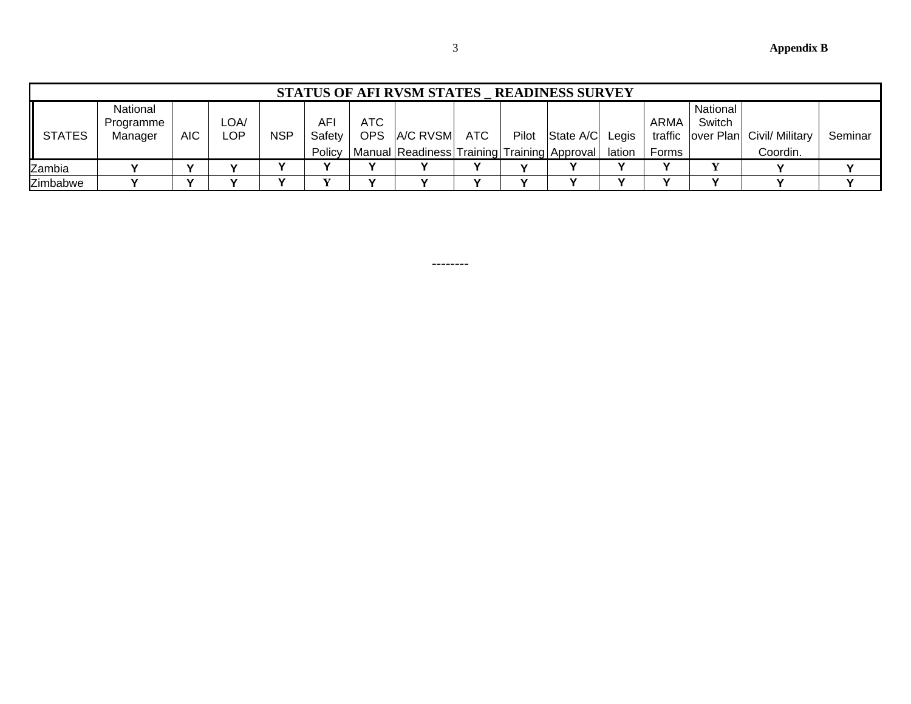**Appendix B** 

|               |                                  |                          |              |            |                     |             | STATUS OF AFI RVSM STATES READINESS SURVEY  |    |                 |        |       |                                         |                 |         |  |
|---------------|----------------------------------|--------------------------|--------------|------------|---------------------|-------------|---------------------------------------------|----|-----------------|--------|-------|-----------------------------------------|-----------------|---------|--|
| <b>STATES</b> | National<br>Programme<br>Manager | <b>AIC</b>               | LOA/<br>LOP. | <b>NSP</b> | <b>AF</b><br>Safety | ATC.<br>OPS | A/C RVSM ATC                                |    | Pilot State A/C | Legis  | ARMA  | National<br>Switch<br>traffic over Plan | Civil/ Military | Seminar |  |
|               |                                  |                          |              |            | Policy              |             | Manual Readiness Training Training Approval |    |                 | lation | Forms |                                         | Coordin.        |         |  |
| Zambia        |                                  | v                        |              |            |                     |             |                                             |    |                 |        |       |                                         |                 |         |  |
| Zimbabwe      |                                  | $\overline{\phantom{a}}$ | $\mathbf{v}$ | v          |                     | v           |                                             | `` |                 | v      | v     | v                                       |                 |         |  |

**--------**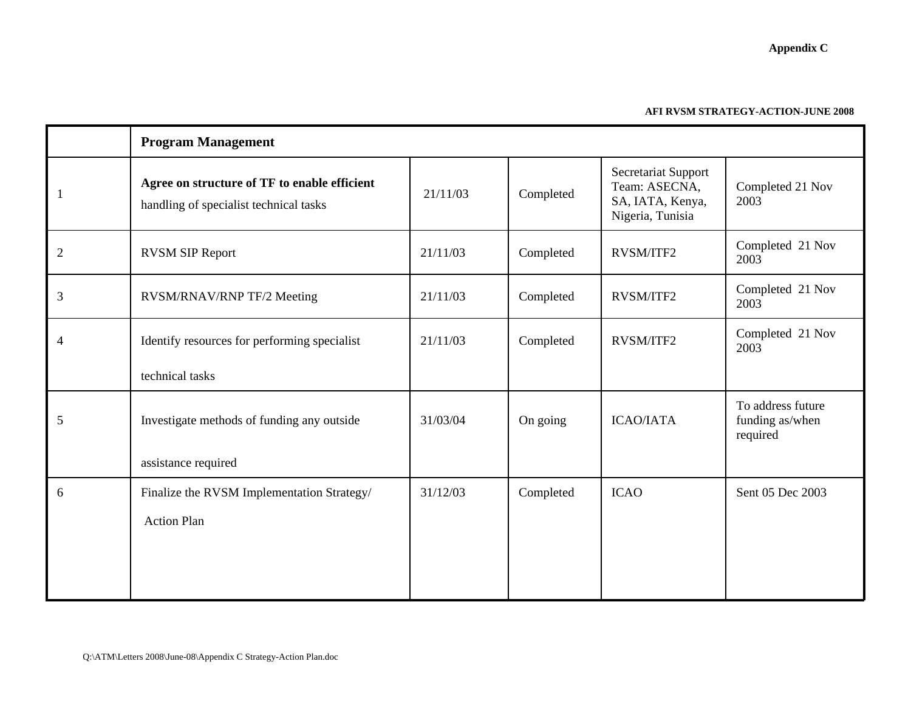| <b>Appendix C</b> |  |
|-------------------|--|
|-------------------|--|

#### **AFI RVSM STRATEGY-ACTION-JUNE 2008**

|   | <b>Program Management</b>                                                              |          |           |                                                                              |                                                  |
|---|----------------------------------------------------------------------------------------|----------|-----------|------------------------------------------------------------------------------|--------------------------------------------------|
|   | Agree on structure of TF to enable efficient<br>handling of specialist technical tasks | 21/11/03 | Completed | Secretariat Support<br>Team: ASECNA,<br>SA, IATA, Kenya,<br>Nigeria, Tunisia | Completed 21 Nov<br>2003                         |
| 2 | <b>RVSM SIP Report</b>                                                                 | 21/11/03 | Completed | <b>RVSM/ITF2</b>                                                             | Completed 21 Nov<br>2003                         |
| 3 | RVSM/RNAV/RNP TF/2 Meeting                                                             | 21/11/03 | Completed | RVSM/ITF2                                                                    | Completed 21 Nov<br>2003                         |
| 4 | Identify resources for performing specialist                                           | 21/11/03 | Completed | <b>RVSM/ITF2</b>                                                             | Completed 21 Nov<br>2003                         |
|   | technical tasks                                                                        |          |           |                                                                              |                                                  |
| 5 | Investigate methods of funding any outside<br>assistance required                      | 31/03/04 | On going  | <b>ICAO/IATA</b>                                                             | To address future<br>funding as/when<br>required |
| 6 | Finalize the RVSM Implementation Strategy/<br><b>Action Plan</b>                       | 31/12/03 | Completed | <b>ICAO</b>                                                                  | Sent 05 Dec 2003                                 |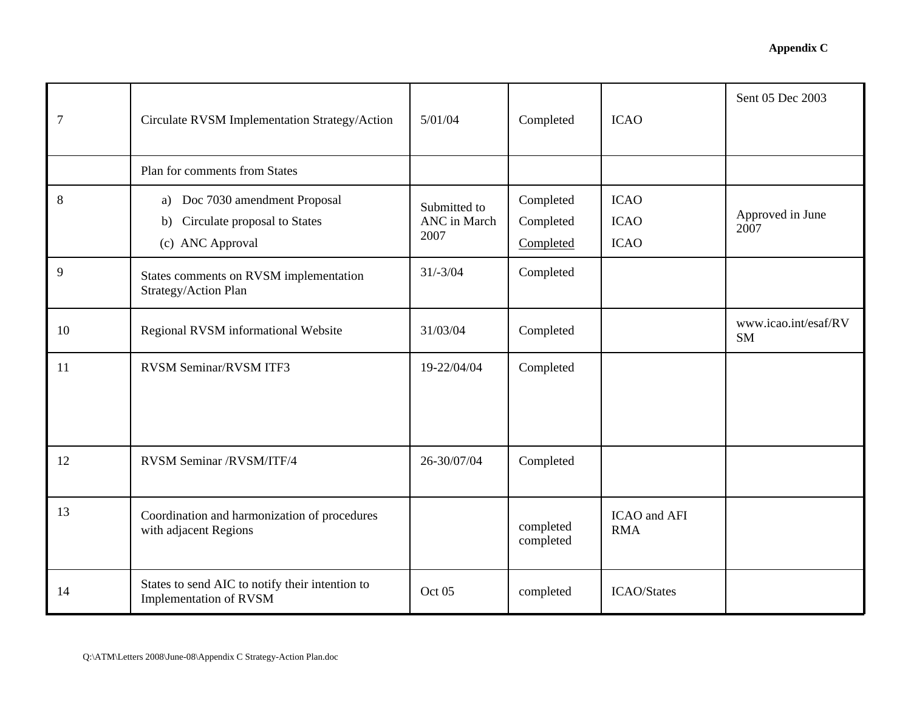| 7  | Circulate RVSM Implementation Strategy/Action                                            | 5/01/04                              | Completed                           | <b>ICAO</b>                               | Sent 05 Dec 2003                  |
|----|------------------------------------------------------------------------------------------|--------------------------------------|-------------------------------------|-------------------------------------------|-----------------------------------|
|    | Plan for comments from States                                                            |                                      |                                     |                                           |                                   |
| 8  | a) Doc 7030 amendment Proposal<br>Circulate proposal to States<br>b)<br>(c) ANC Approval | Submitted to<br>ANC in March<br>2007 | Completed<br>Completed<br>Completed | <b>ICAO</b><br><b>ICAO</b><br><b>ICAO</b> | Approved in June<br>2007          |
| 9  | States comments on RVSM implementation<br>Strategy/Action Plan                           | $31/-3/04$                           | Completed                           |                                           |                                   |
| 10 | Regional RVSM informational Website                                                      | 31/03/04                             | Completed                           |                                           | www.icao.int/esaf/RV<br><b>SM</b> |
| 11 | <b>RVSM Seminar/RVSM ITF3</b>                                                            | 19-22/04/04                          | Completed                           |                                           |                                   |
| 12 | RVSM Seminar /RVSM/ITF/4                                                                 | 26-30/07/04                          | Completed                           |                                           |                                   |
| 13 | Coordination and harmonization of procedures<br>with adjacent Regions                    |                                      | completed<br>completed              | ICAO and AFI<br><b>RMA</b>                |                                   |
| 14 | States to send AIC to notify their intention to<br>Implementation of RVSM                | Oct 05                               | completed                           | <b>ICAO/States</b>                        |                                   |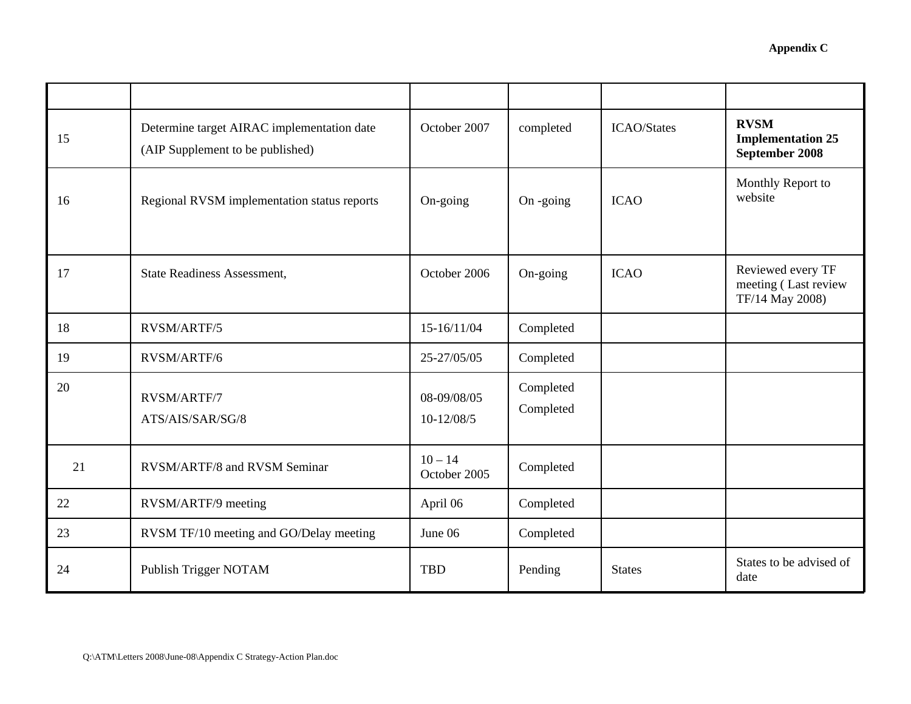| 15 | Determine target AIRAC implementation date<br>(AIP Supplement to be published) | October 2007                | completed              | <b>ICAO/States</b> | <b>RVSM</b><br><b>Implementation 25</b><br>September 2008    |
|----|--------------------------------------------------------------------------------|-----------------------------|------------------------|--------------------|--------------------------------------------------------------|
| 16 | Regional RVSM implementation status reports                                    | On-going                    | On -going              | <b>ICAO</b>        | Monthly Report to<br>website                                 |
| 17 | <b>State Readiness Assessment,</b>                                             | October 2006                | On-going               | <b>ICAO</b>        | Reviewed every TF<br>meeting (Last review<br>TF/14 May 2008) |
| 18 | RVSM/ARTF/5                                                                    | 15-16/11/04                 | Completed              |                    |                                                              |
| 19 | RVSM/ARTF/6                                                                    | 25-27/05/05                 | Completed              |                    |                                                              |
| 20 | RVSM/ARTF/7<br>ATS/AIS/SAR/SG/8                                                | 08-09/08/05<br>$10-12/08/5$ | Completed<br>Completed |                    |                                                              |
| 21 | RVSM/ARTF/8 and RVSM Seminar                                                   | $10 - 14$<br>October 2005   | Completed              |                    |                                                              |
| 22 | RVSM/ARTF/9 meeting                                                            | April 06                    | Completed              |                    |                                                              |
| 23 | RVSM TF/10 meeting and GO/Delay meeting                                        | June 06                     | Completed              |                    |                                                              |
| 24 | Publish Trigger NOTAM                                                          | <b>TBD</b>                  | Pending                | <b>States</b>      | States to be advised of<br>date                              |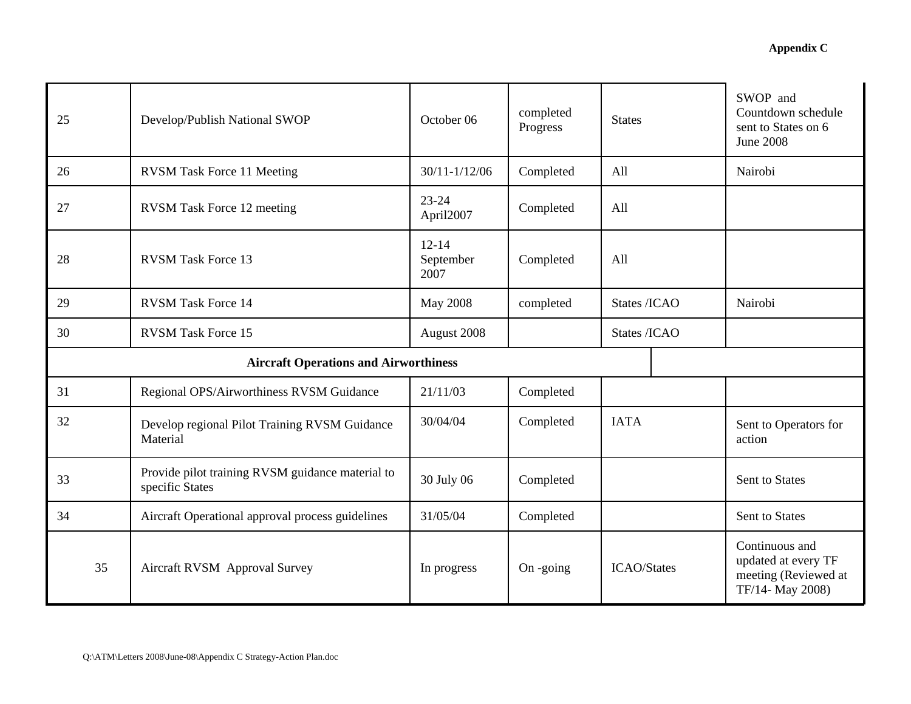| 25 | Develop/Publish National SWOP                                       | October 06                     | completed<br>Progress | <b>States</b>      | SWOP and<br>Countdown schedule<br>sent to States on 6<br><b>June 2008</b>         |
|----|---------------------------------------------------------------------|--------------------------------|-----------------------|--------------------|-----------------------------------------------------------------------------------|
| 26 | <b>RVSM Task Force 11 Meeting</b>                                   | $30/11 - 1/12/06$              | Completed             | All                | Nairobi                                                                           |
| 27 | <b>RVSM</b> Task Force 12 meeting                                   | $23 - 24$<br>April2007         | Completed             | All                |                                                                                   |
| 28 | <b>RVSM Task Force 13</b>                                           | $12 - 14$<br>September<br>2007 | Completed             | All                |                                                                                   |
| 29 | RVSM Task Force 14                                                  | <b>May 2008</b>                | completed             | States /ICAO       | Nairobi                                                                           |
| 30 | <b>RVSM Task Force 15</b>                                           | August 2008                    |                       | States /ICAO       |                                                                                   |
|    | <b>Aircraft Operations and Airworthiness</b>                        |                                |                       |                    |                                                                                   |
| 31 | Regional OPS/Airworthiness RVSM Guidance                            | 21/11/03                       | Completed             |                    |                                                                                   |
| 32 | Develop regional Pilot Training RVSM Guidance<br>Material           | 30/04/04                       | Completed             | <b>IATA</b>        | Sent to Operators for<br>action                                                   |
| 33 | Provide pilot training RVSM guidance material to<br>specific States | 30 July 06                     | Completed             |                    | <b>Sent to States</b>                                                             |
| 34 | Aircraft Operational approval process guidelines                    | 31/05/04                       | Completed             |                    | Sent to States                                                                    |
| 35 | Aircraft RVSM Approval Survey                                       | In progress                    | $On$ -going           | <b>ICAO/States</b> | Continuous and<br>updated at every TF<br>meeting (Reviewed at<br>TF/14- May 2008) |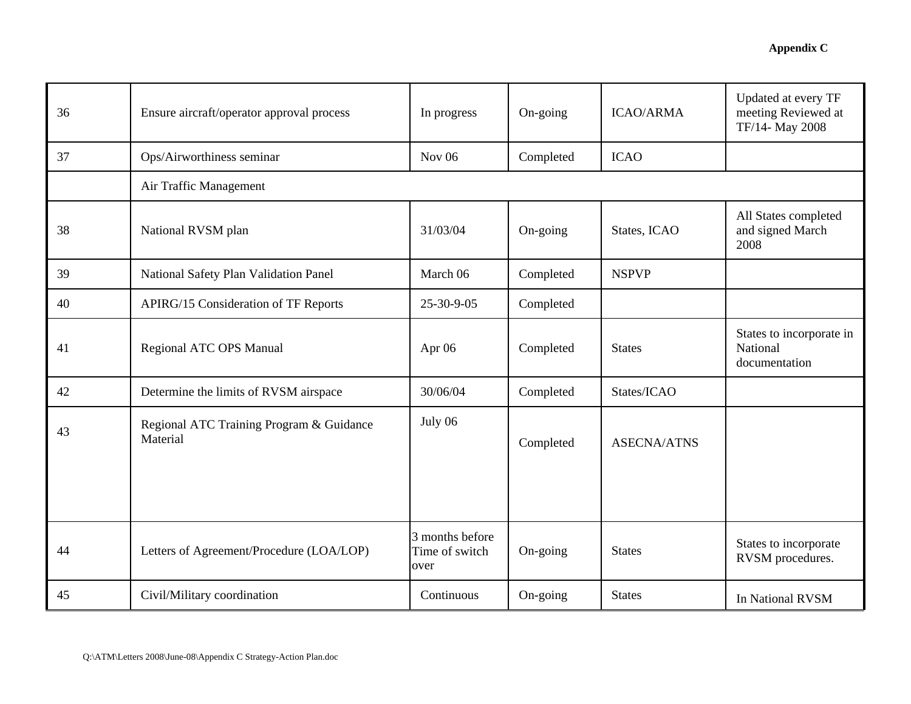| 36 | Ensure aircraft/operator approval process            | In progress                               | On-going  | <b>ICAO/ARMA</b>   | Updated at every TF<br>meeting Reviewed at<br>TF/14- May 2008 |  |
|----|------------------------------------------------------|-------------------------------------------|-----------|--------------------|---------------------------------------------------------------|--|
| 37 | Ops/Airworthiness seminar                            | Nov $06$                                  | Completed | <b>ICAO</b>        |                                                               |  |
|    | Air Traffic Management                               |                                           |           |                    |                                                               |  |
| 38 | National RVSM plan                                   | 31/03/04                                  | On-going  | States, ICAO       | All States completed<br>and signed March<br>2008              |  |
| 39 | National Safety Plan Validation Panel                | March 06                                  | Completed | <b>NSPVP</b>       |                                                               |  |
| 40 | <b>APIRG/15 Consideration of TF Reports</b>          | 25-30-9-05                                | Completed |                    |                                                               |  |
| 41 | Regional ATC OPS Manual                              | Apr 06                                    | Completed | <b>States</b>      | States to incorporate in<br>National<br>documentation         |  |
| 42 | Determine the limits of RVSM airspace                | 30/06/04                                  | Completed | States/ICAO        |                                                               |  |
| 43 | Regional ATC Training Program & Guidance<br>Material | July 06                                   | Completed | <b>ASECNA/ATNS</b> |                                                               |  |
| 44 | Letters of Agreement/Procedure (LOA/LOP)             | 3 months before<br>Time of switch<br>over | On-going  | <b>States</b>      | States to incorporate<br>RVSM procedures.                     |  |
| 45 | Civil/Military coordination                          | Continuous                                | On-going  | <b>States</b>      | In National RVSM                                              |  |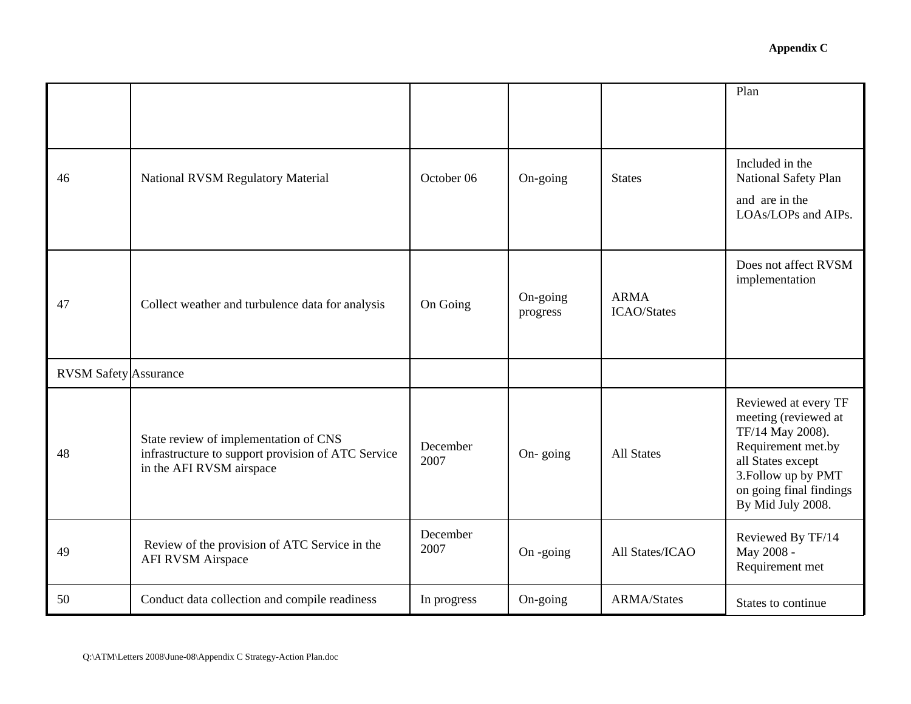|                              |                                                                                                                         |                  |                      |                                   | Plan                                                                                                                                                                               |
|------------------------------|-------------------------------------------------------------------------------------------------------------------------|------------------|----------------------|-----------------------------------|------------------------------------------------------------------------------------------------------------------------------------------------------------------------------------|
| 46                           | National RVSM Regulatory Material                                                                                       | October 06       | On-going             | <b>States</b>                     | Included in the<br>National Safety Plan<br>and are in the<br>LOAs/LOPs and AIPs.                                                                                                   |
| 47                           | Collect weather and turbulence data for analysis                                                                        | On Going         | On-going<br>progress | <b>ARMA</b><br><b>ICAO/States</b> | Does not affect RVSM<br>implementation                                                                                                                                             |
| <b>RVSM Safety Assurance</b> |                                                                                                                         |                  |                      |                                   |                                                                                                                                                                                    |
| 48                           | State review of implementation of CNS<br>infrastructure to support provision of ATC Service<br>in the AFI RVSM airspace | December<br>2007 | On-going             | <b>All States</b>                 | Reviewed at every TF<br>meeting (reviewed at<br>TF/14 May 2008).<br>Requirement met.by<br>all States except<br>3. Follow up by PMT<br>on going final findings<br>By Mid July 2008. |
| 49                           | Review of the provision of ATC Service in the<br><b>AFI RVSM Airspace</b>                                               | December<br>2007 | On -going            | All States/ICAO                   | Reviewed By TF/14<br>May 2008 -<br>Requirement met                                                                                                                                 |
| 50                           | Conduct data collection and compile readiness                                                                           | In progress      | On-going             | <b>ARMA/States</b>                | States to continue                                                                                                                                                                 |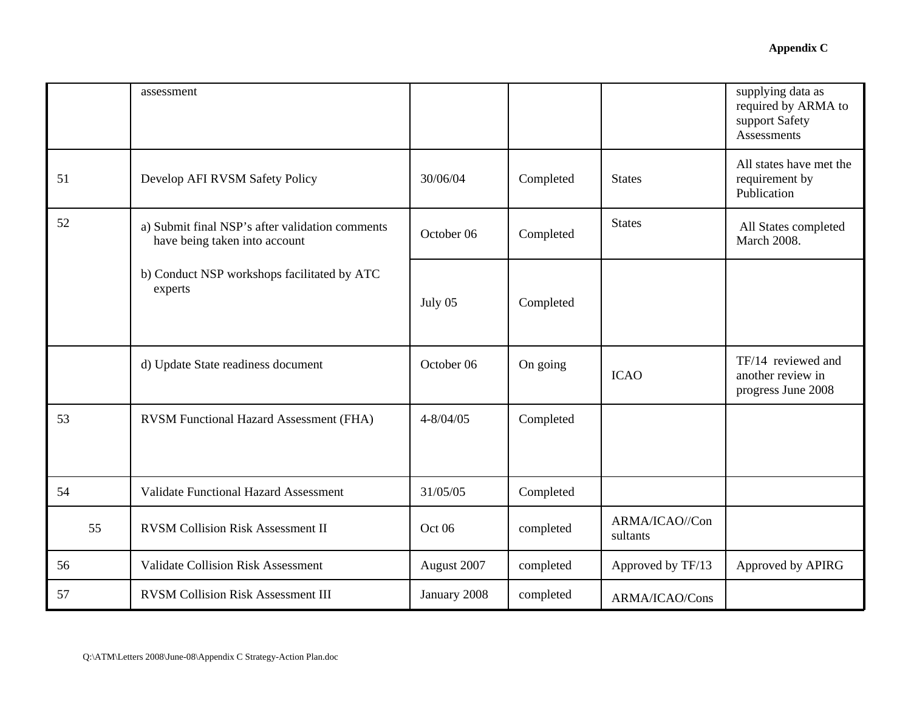|    | assessment                                                                       |               |           |                            | supplying data as<br>required by ARMA to<br>support Safety<br><b>Assessments</b> |
|----|----------------------------------------------------------------------------------|---------------|-----------|----------------------------|----------------------------------------------------------------------------------|
| 51 | Develop AFI RVSM Safety Policy                                                   | 30/06/04      | Completed | <b>States</b>              | All states have met the<br>requirement by<br>Publication                         |
| 52 | a) Submit final NSP's after validation comments<br>have being taken into account | October 06    | Completed | <b>States</b>              | All States completed<br><b>March 2008.</b>                                       |
|    | b) Conduct NSP workshops facilitated by ATC<br>experts                           | July 05       | Completed |                            |                                                                                  |
|    | d) Update State readiness document                                               | October 06    | On going  | <b>ICAO</b>                | TF/14 reviewed and<br>another review in<br>progress June 2008                    |
| 53 | RVSM Functional Hazard Assessment (FHA)                                          | $4 - 8/04/05$ | Completed |                            |                                                                                  |
| 54 | <b>Validate Functional Hazard Assessment</b>                                     | 31/05/05      | Completed |                            |                                                                                  |
| 55 | <b>RVSM Collision Risk Assessment II</b>                                         | Oct 06        | completed | ARMA/ICAO//Con<br>sultants |                                                                                  |
| 56 | <b>Validate Collision Risk Assessment</b>                                        | August 2007   | completed | Approved by TF/13          | Approved by APIRG                                                                |
| 57 | <b>RVSM Collision Risk Assessment III</b>                                        | January 2008  | completed | ARMA/ICAO/Cons             |                                                                                  |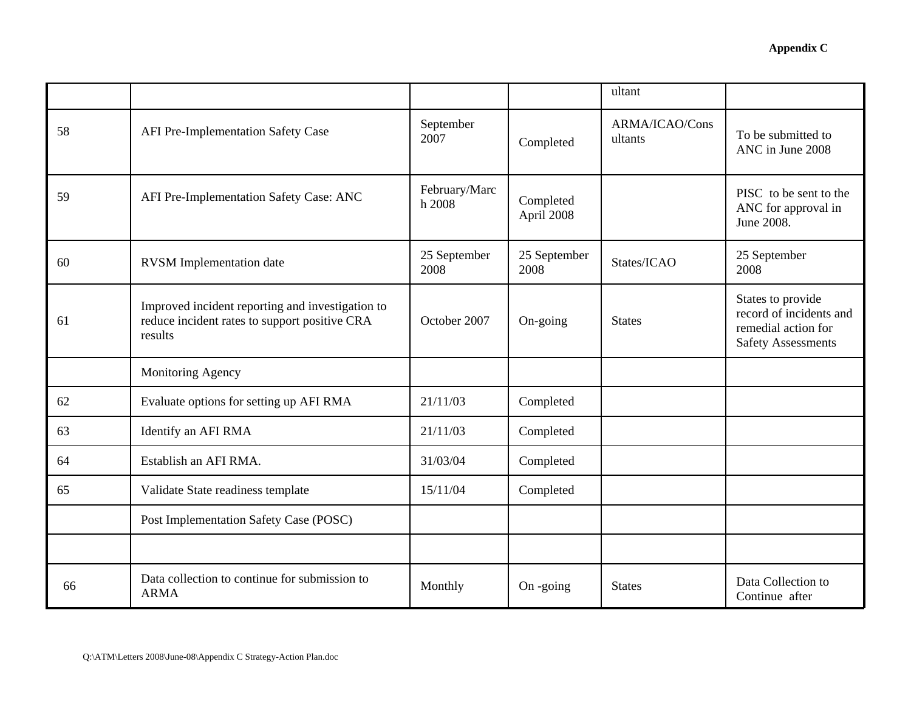|    |                                                                                                              |                         |                         | ultant                    |                                                                                                  |
|----|--------------------------------------------------------------------------------------------------------------|-------------------------|-------------------------|---------------------------|--------------------------------------------------------------------------------------------------|
| 58 | AFI Pre-Implementation Safety Case                                                                           | September<br>2007       | Completed               | ARMA/ICAO/Cons<br>ultants | To be submitted to<br>ANC in June 2008                                                           |
| 59 | AFI Pre-Implementation Safety Case: ANC                                                                      | February/Marc<br>h 2008 | Completed<br>April 2008 |                           | PISC to be sent to the<br>ANC for approval in<br>June 2008.                                      |
| 60 | <b>RVSM</b> Implementation date                                                                              | 25 September<br>2008    | 25 September<br>2008    | States/ICAO               | 25 September<br>2008                                                                             |
| 61 | Improved incident reporting and investigation to<br>reduce incident rates to support positive CRA<br>results | October 2007            | On-going                | <b>States</b>             | States to provide<br>record of incidents and<br>remedial action for<br><b>Safety Assessments</b> |
|    | Monitoring Agency                                                                                            |                         |                         |                           |                                                                                                  |
| 62 | Evaluate options for setting up AFI RMA                                                                      | 21/11/03                | Completed               |                           |                                                                                                  |
| 63 | Identify an AFI RMA                                                                                          | 21/11/03                | Completed               |                           |                                                                                                  |
| 64 | Establish an AFI RMA.                                                                                        | 31/03/04                | Completed               |                           |                                                                                                  |
| 65 | Validate State readiness template                                                                            | 15/11/04                | Completed               |                           |                                                                                                  |
|    | Post Implementation Safety Case (POSC)                                                                       |                         |                         |                           |                                                                                                  |
|    |                                                                                                              |                         |                         |                           |                                                                                                  |
| 66 | Data collection to continue for submission to<br><b>ARMA</b>                                                 | Monthly                 | On -going               | <b>States</b>             | Data Collection to<br>Continue after                                                             |